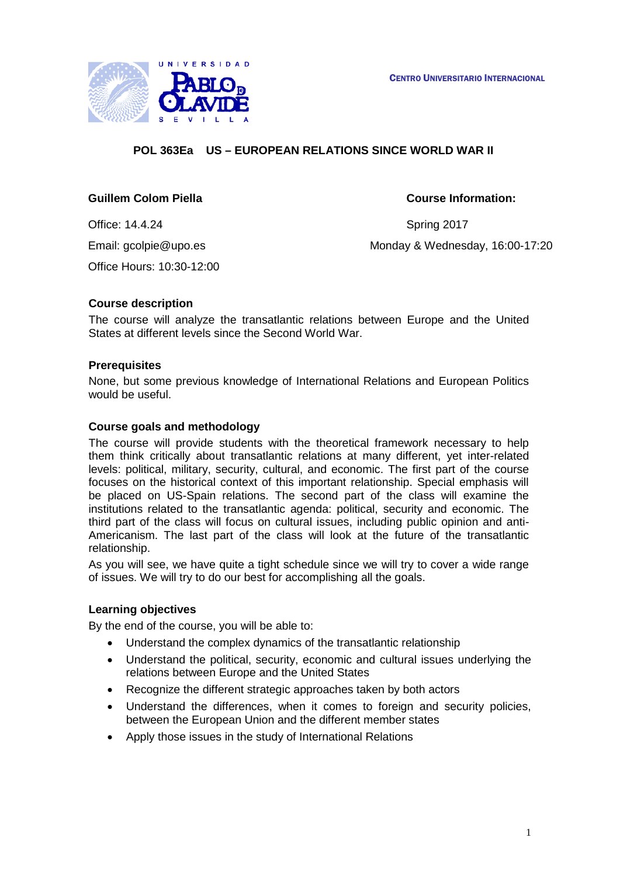

# **POL 363Ea US – EUROPEAN RELATIONS SINCE WORLD WAR II**

### **Guillem Colom Piella Course Information:**

Office: 14.4.24 Spring 2017 Office Hours: 10:30-12:00

Email: gcolpie@upo.es Monday & Wednesday, 16:00-17:20

### **Course description**

The course will analyze the transatlantic relations between Europe and the United States at different levels since the Second World War.

#### **Prerequisites**

None, but some previous knowledge of International Relations and European Politics would be useful.

#### **Course goals and methodology**

The course will provide students with the theoretical framework necessary to help them think critically about transatlantic relations at many different, yet inter-related levels: political, military, security, cultural, and economic. The first part of the course focuses on the historical context of this important relationship. Special emphasis will be placed on US-Spain relations. The second part of the class will examine the institutions related to the transatlantic agenda: political, security and economic. The third part of the class will focus on cultural issues, including public opinion and anti-Americanism. The last part of the class will look at the future of the transatlantic relationship.

As you will see, we have quite a tight schedule since we will try to cover a wide range of issues. We will try to do our best for accomplishing all the goals.

#### **Learning objectives**

By the end of the course, you will be able to:

- Understand the complex dynamics of the transatlantic relationship
- Understand the political, security, economic and cultural issues underlying the relations between Europe and the United States
- Recognize the different strategic approaches taken by both actors
- Understand the differences, when it comes to foreign and security policies, between the European Union and the different member states
- Apply those issues in the study of International Relations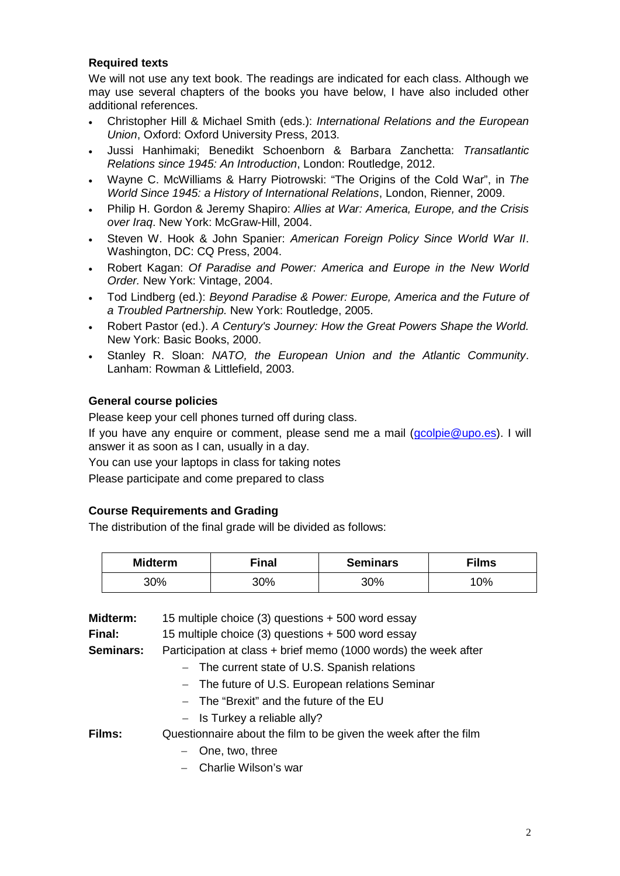## **Required texts**

We will not use any text book. The readings are indicated for each class. Although we may use several chapters of the books you have below, I have also included other additional references.

- Christopher Hill & Michael Smith (eds.): *International Relations and the European Union*, Oxford: Oxford University Press, 2013.
- Jussi Hanhimaki; Benedikt Schoenborn & Barbara Zanchetta: *Transatlantic Relations since 1945: An Introduction*, London: Routledge, 2012.
- Wayne C. McWilliams & Harry Piotrowski: "The Origins of the Cold War", in *The World Since 1945: a History of International Relations*, London, Rienner, 2009.
- Philip H. Gordon & Jeremy Shapiro: *Allies at War: America, Europe, and the Crisis over Iraq*. New York: McGraw-Hill, 2004.
- Steven W. Hook & John Spanier: *American Foreign Policy Since World War II*. Washington, DC: CQ Press, 2004.
- Robert Kagan: *Of Paradise and Power: America and Europe in the New World Order.* New York: Vintage, 2004.
- Tod Lindberg (ed.): *Beyond Paradise & Power: Europe, America and the Future of a Troubled Partnership.* New York: Routledge, 2005.
- Robert Pastor (ed.). *A Century's Journey: How the Great Powers Shape the World.*  New York: Basic Books, 2000.
- Stanley R. Sloan: *NATO, the European Union and the Atlantic Community*. Lanham: Rowman & Littlefield, 2003.

### **General course policies**

Please keep your cell phones turned off during class.

If you have any enquire or comment, please send me a mail [\(gcolpie@upo.es\)](mailto:gcolpie@upo.es). I will answer it as soon as I can, usually in a day.

You can use your laptops in class for taking notes

Please participate and come prepared to class

#### **Course Requirements and Grading**

The distribution of the final grade will be divided as follows:

| <b>Midterm</b> | <b>Final</b> | <b>Seminars</b> | <b>Films</b> |
|----------------|--------------|-----------------|--------------|
| 30%            | 30%          | 30%             | 10%          |

| Midterm:  | 15 multiple choice (3) questions + 500 word essay                |  |  |
|-----------|------------------------------------------------------------------|--|--|
| Final:    | 15 multiple choice (3) questions + 500 word essay                |  |  |
| Seminars: | Participation at class + brief memo (1000 words) the week after  |  |  |
|           | - The current state of U.S. Spanish relations                    |  |  |
|           | - The future of U.S. European relations Seminar                  |  |  |
|           | - The "Brexit" and the future of the EU                          |  |  |
|           | $-$ Is Turkey a reliable ally?                                   |  |  |
| Films:    | Questionnaire about the film to be given the week after the film |  |  |
|           | One, two, three<br>$-$                                           |  |  |
|           | - Charlie Wilson's war                                           |  |  |
|           |                                                                  |  |  |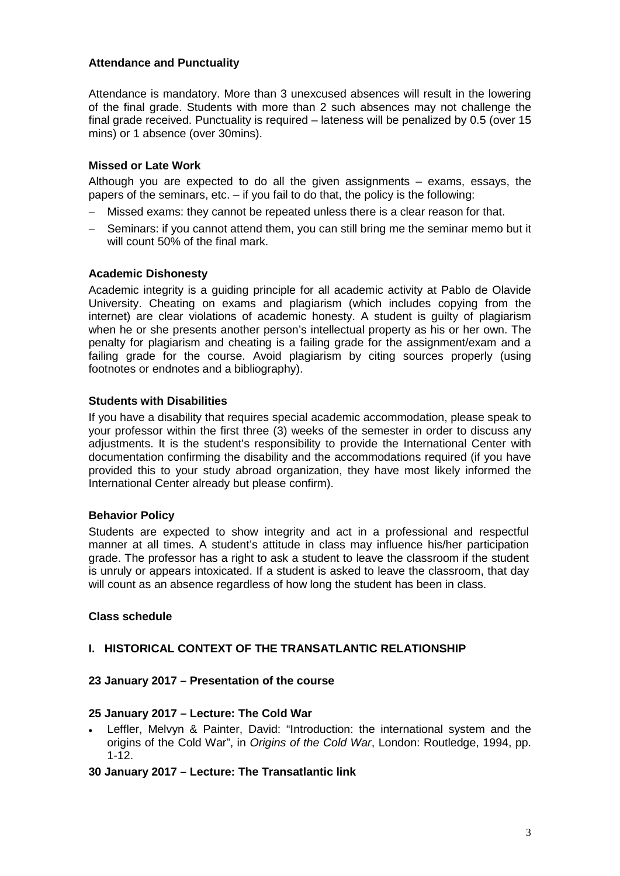#### **Attendance and Punctuality**

Attendance is mandatory. More than 3 unexcused absences will result in the lowering of the final grade. Students with more than 2 such absences may not challenge the final grade received. Punctuality is required – lateness will be penalized by 0.5 (over 15 mins) or 1 absence (over 30mins).

#### **Missed or Late Work**

Although you are expected to do all the given assignments – exams, essays, the papers of the seminars, etc. – if you fail to do that, the policy is the following:

- − Missed exams: they cannot be repeated unless there is a clear reason for that.
- Seminars: if you cannot attend them, you can still bring me the seminar memo but it will count 50% of the final mark.

### **Academic Dishonesty**

Academic integrity is a guiding principle for all academic activity at Pablo de Olavide University. Cheating on exams and plagiarism (which includes copying from the internet) are clear violations of academic honesty. A student is guilty of plagiarism when he or she presents another person's intellectual property as his or her own. The penalty for plagiarism and cheating is a failing grade for the assignment/exam and a failing grade for the course. Avoid plagiarism by citing sources properly (using footnotes or endnotes and a bibliography).

### **Students with Disabilities**

If you have a disability that requires special academic accommodation, please speak to your professor within the first three (3) weeks of the semester in order to discuss any adjustments. It is the student's responsibility to provide the International Center with documentation confirming the disability and the accommodations required (if you have provided this to your study abroad organization, they have most likely informed the International Center already but please confirm).

#### **Behavior Policy**

Students are expected to show integrity and act in a professional and respectful manner at all times. A student's attitude in class may influence his/her participation grade. The professor has a right to ask a student to leave the classroom if the student is unruly or appears intoxicated. If a student is asked to leave the classroom, that day will count as an absence regardless of how long the student has been in class.

# **Class schedule**

# **I. HISTORICAL CONTEXT OF THE TRANSATLANTIC RELATIONSHIP**

#### **23 January 2017 – Presentation of the course**

#### **25 January 2017 – Lecture: The Cold War**

Leffler, Melvyn & Painter, David: "Introduction: the international system and the origins of the Cold War", in *Origins of the Cold War*, London: Routledge, 1994, pp. 1-12.

#### **30 January 2017 – Lecture: The Transatlantic link**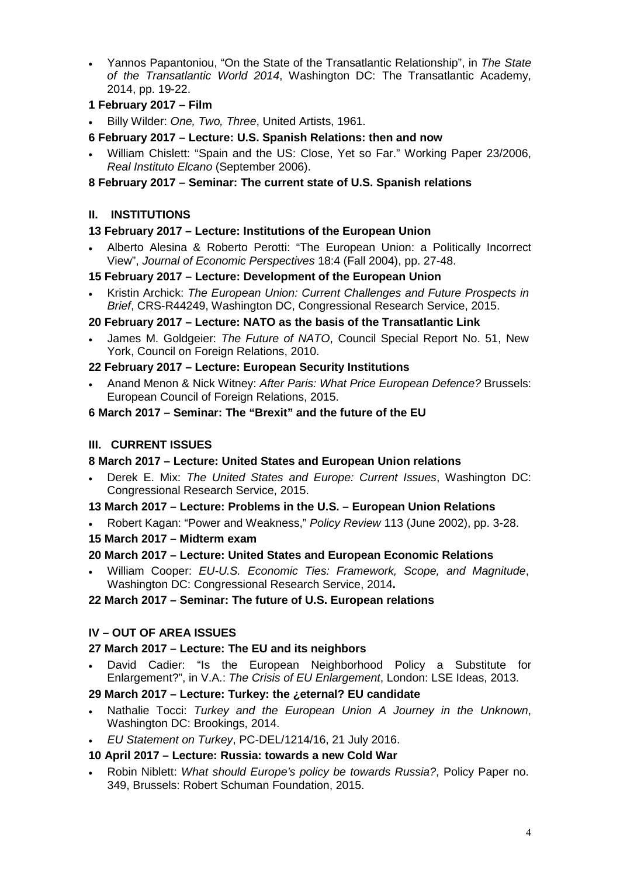• Yannos Papantoniou, "On the State of the Transatlantic Relationship", in *The State of the Transatlantic World 2014*, Washington DC: The Transatlantic Academy, 2014, pp. 19-22.

# **1 February 2017 – Film**

• Billy Wilder: *One, Two, Three*, United Artists, 1961.

# **6 February 2017 – Lecture: U.S. Spanish Relations: then and now**

• William Chislett: "Spain and the US: Close, Yet so Far." Working Paper 23/2006, *Real Instituto Elcano* (September 2006).

## **8 February 2017 – Seminar: The current state of U.S. Spanish relations**

# **II. INSTITUTIONS**

# **13 February 2017 – Lecture: Institutions of the European Union**

• Alberto Alesina & Roberto Perotti: "The European Union: a Politically Incorrect View", *Journal of Economic Perspectives* 18:4 (Fall 2004), pp. 27-48.

### **15 February 2017 – Lecture: Development of the European Union**

• Kristin Archick: *The European Union: Current Challenges and Future Prospects in Brief*, CRS-R44249, Washington DC, Congressional Research Service, 2015.

# **20 February 2017 – Lecture: NATO as the basis of the Transatlantic Link**

• James M. Goldgeier: *The Future of NATO*, Council Special Report No. 51, New York, Council on Foreign Relations, 2010.

# **22 February 2017 – Lecture: European Security Institutions**

• Anand Menon & Nick Witney: *After Paris: What Price European Defence?* Brussels: European Council of Foreign Relations, 2015.

### **6 March 2017 – Seminar: The "Brexit" and the future of the EU**

# **III. CURRENT ISSUES**

# **8 March 2017 – Lecture: United States and European Union relations**

- Derek E. Mix: *The United States and Europe: Current Issues*, Washington DC: Congressional Research Service, 2015.
- **13 March 2017 – Lecture: Problems in the U.S. – European Union Relations**
- Robert Kagan: "Power and Weakness," *Policy Review* 113 (June 2002), pp. 3-28.
- **15 March 2017 – Midterm exam**

# **20 March 2017 – Lecture: United States and European Economic Relations**

• William Cooper: *EU-U.S. Economic Ties: Framework, Scope, and Magnitude*, Washington DC: Congressional Research Service, 2014**.**

## **22 March 2017 – Seminar: The future of U.S. European relations**

# **IV – OUT OF AREA ISSUES**

# **27 March 2017 – Lecture: The EU and its neighbors**

• David Cadier: "Is the European Neighborhood Policy a Substitute for Enlargement?", in V.A.: *The Crisis of EU Enlargement*, London: LSE Ideas, 2013.

# **29 March 2017 – Lecture: Turkey: the ¿eternal? EU candidate**

- Nathalie Tocci: *Turkey and the European Union A Journey in the Unknown*, Washington DC: Brookings, 2014.
- *EU Statement on Turkey*, PC-DEL/1214/16, 21 July 2016.

# **10 April 2017 – Lecture: Russia: towards a new Cold War**

• Robin Niblett: *What should Europe's policy be towards Russia?*, Policy Paper no. 349, Brussels: Robert Schuman Foundation, 2015.